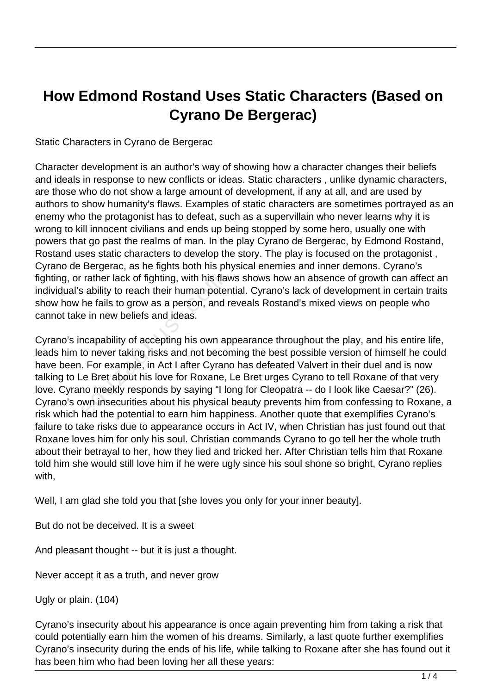## **How Edmond Rostand Uses Static Characters (Based on Cyrano De Bergerac)**

Static Characters in Cyrano de Bergerac

Character development is an author's way of showing how a character changes their beliefs and ideals in response to new conflicts or ideas. Static characters , unlike dynamic characters, are those who do not show a large amount of development, if any at all, and are used by authors to show humanity's flaws. Examples of static characters are sometimes portrayed as an enemy who the protagonist has to defeat, such as a supervillain who never learns why it is wrong to kill innocent civilians and ends up being stopped by some hero, usually one with powers that go past the realms of man. In the play Cyrano de Bergerac, by Edmond Rostand, Rostand uses static characters to develop the story. The play is focused on the protagonist , Cyrano de Bergerac, as he fights both his physical enemies and inner demons. Cyrano's fighting, or rather lack of fighting, with his flaws shows how an absence of growth can affect an individual's ability to reach their human potential. Cyrano's lack of development in certain traits show how he fails to grow as a person, and reveals Rostand's mixed views on people who cannot take in new beliefs and ideas.

Cyrano's incapability of accepting his own appearance throughout the play, and his entire life, leads him to never taking risks and not becoming the best possible version of himself he could have been. For example, in Act I after Cyrano has defeated Valvert in their duel and is now talking to Le Bret about his love for Roxane, Le Bret urges Cyrano to tell Roxane of that very love. Cyrano meekly responds by saying "I long for Cleopatra -- do I look like Caesar?" (26). Cyrano's own insecurities about his physical beauty prevents him from confessing to Roxane, a risk which had the potential to earn him happiness. Another quote that exemplifies Cyrano's failure to take risks due to appearance occurs in Act IV, when Christian has just found out that Roxane loves him for only his soul. Christian commands Cyrano to go tell her the whole truth about their betrayal to her, how they lied and tricked her. After Christian tells him that Roxane told him she would still love him if he were ugly since his soul shone so bright, Cyrano replies with, rather lack of fighting, with his flamed as ability to reach their human pote he fails to grow as a person, and e in new beliefs and ideas.<br>The rate in new beliefs and ideas.<br>The incorporation of the proceedure of the proc

Well, I am glad she told you that [she loves you only for your inner beauty].

But do not be deceived. It is a sweet

And pleasant thought -- but it is just a thought.

Never accept it as a truth, and never grow

Ugly or plain. (104)

Cyrano's insecurity about his appearance is once again preventing him from taking a risk that could potentially earn him the women of his dreams. Similarly, a last quote further exemplifies Cyrano's insecurity during the ends of his life, while talking to Roxane after she has found out it has been him who had been loving her all these years: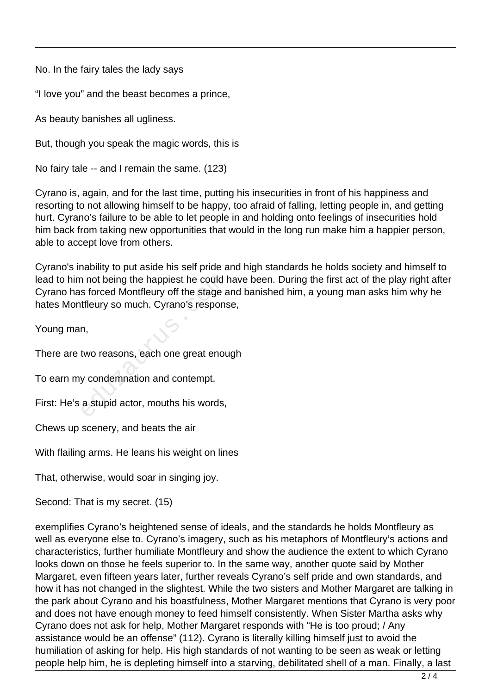No. In the fairy tales the lady says

"I love you" and the beast becomes a prince,

As beauty banishes all ugliness.

But, though you speak the magic words, this is

No fairy tale -- and I remain the same. (123)

Cyrano is, again, and for the last time, putting his insecurities in front of his happiness and resorting to not allowing himself to be happy, too afraid of falling, letting people in, and getting hurt. Cyrano's failure to be able to let people in and holding onto feelings of insecurities hold him back from taking new opportunities that would in the long run make him a happier person, able to accept love from others.

Cyrano's inability to put aside his self pride and high standards he holds society and himself to lead to him not being the happiest he could have been. During the first act of the play right after Cyrano has forced Montfleury off the stage and banished him, a young man asks him why he hates Montfleury so much. Cyrano's response, n not being the happiest he could is forced Montfleury off the stage at fleury so much. Cyrano's respons<br>theury so much. Cyrano's respons<br>n,<br>two reasons, each one great enoury condemnation and contempt.<br>a stupid actor, mou

Young man,

There are two reasons, each one great enough

To earn my condemnation and contempt.

First: He's a stupid actor, mouths his words,

Chews up scenery, and beats the air

With flailing arms. He leans his weight on lines

That, otherwise, would soar in singing joy.

Second: That is my secret. (15)

exemplifies Cyrano's heightened sense of ideals, and the standards he holds Montfleury as well as everyone else to. Cyrano's imagery, such as his metaphors of Montfleury's actions and characteristics, further humiliate Montfleury and show the audience the extent to which Cyrano looks down on those he feels superior to. In the same way, another quote said by Mother Margaret, even fifteen years later, further reveals Cyrano's self pride and own standards, and how it has not changed in the slightest. While the two sisters and Mother Margaret are talking in the park about Cyrano and his boastfulness, Mother Margaret mentions that Cyrano is very poor and does not have enough money to feed himself consistently. When Sister Martha asks why Cyrano does not ask for help, Mother Margaret responds with "He is too proud; / Any assistance would be an offense" (112). Cyrano is literally killing himself just to avoid the humiliation of asking for help. His high standards of not wanting to be seen as weak or letting people help him, he is depleting himself into a starving, debilitated shell of a man. Finally, a last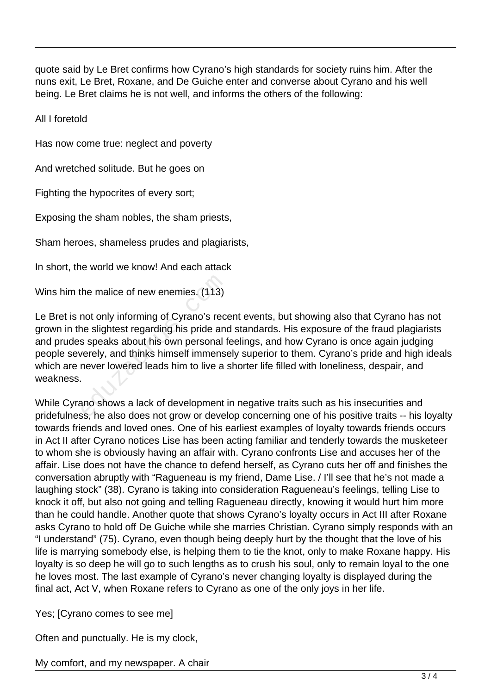quote said by Le Bret confirms how Cyrano's high standards for society ruins him. After the nuns exit, Le Bret, Roxane, and De Guiche enter and converse about Cyrano and his well being. Le Bret claims he is not well, and informs the others of the following:

All I foretold

Has now come true: neglect and poverty

And wretched solitude. But he goes on

Fighting the hypocrites of every sort;

Exposing the sham nobles, the sham priests,

Sham heroes, shameless prudes and plagiarists,

In short, the world we know! And each attack

Wins him the malice of new enemies. (113)

Le Bret is not only informing of Cyrano's recent events, but showing also that Cyrano has not grown in the slightest regarding his pride and standards. His exposure of the fraud plagiarists and prudes speaks about his own personal feelings, and how Cyrano is once again judging people severely, and thinks himself immensely superior to them. Cyrano's pride and high ideals which are never lowered leads him to live a shorter life filled with loneliness, despair, and weakness. the malice of new enemies. (113)<br>
not only informing of Cyrano's recording his pride and<br>
s speaks about his own personal for<br>
verely, and thinks himself immens<br>
never lowered leads him to live a<br>
ano shows a lack of devel

While Cyrano shows a lack of development in negative traits such as his insecurities and pridefulness, he also does not grow or develop concerning one of his positive traits -- his loyalty towards friends and loved ones. One of his earliest examples of loyalty towards friends occurs in Act II after Cyrano notices Lise has been acting familiar and tenderly towards the musketeer to whom she is obviously having an affair with. Cyrano confronts Lise and accuses her of the affair. Lise does not have the chance to defend herself, as Cyrano cuts her off and finishes the conversation abruptly with "Ragueneau is my friend, Dame Lise. / I'll see that he's not made a laughing stock" (38). Cyrano is taking into consideration Ragueneau's feelings, telling Lise to knock it off, but also not going and telling Ragueneau directly, knowing it would hurt him more than he could handle. Another quote that shows Cyrano's loyalty occurs in Act III after Roxane asks Cyrano to hold off De Guiche while she marries Christian. Cyrano simply responds with an "I understand" (75). Cyrano, even though being deeply hurt by the thought that the love of his life is marrying somebody else, is helping them to tie the knot, only to make Roxane happy. His loyalty is so deep he will go to such lengths as to crush his soul, only to remain loyal to the one he loves most. The last example of Cyrano's never changing loyalty is displayed during the final act, Act V, when Roxane refers to Cyrano as one of the only joys in her life.

Yes; [Cyrano comes to see me]

Often and punctually. He is my clock,

My comfort, and my newspaper. A chair